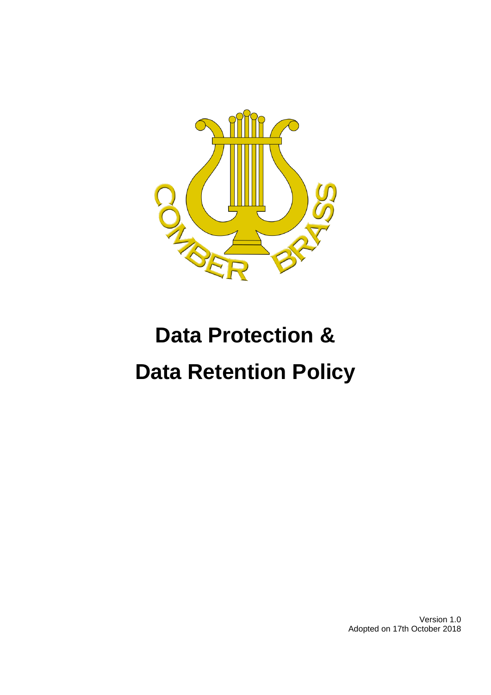

# **Data Protection & Data Retention Policy**

Version 1.0 Adopted on 17th October 2018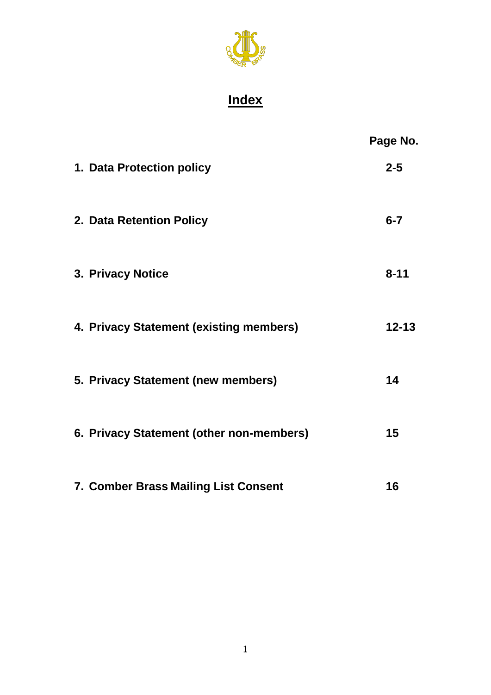

# **Index**

|                                          | Page No.  |
|------------------------------------------|-----------|
| 1. Data Protection policy                | $2 - 5$   |
| 2. Data Retention Policy                 | $6 - 7$   |
| 3. Privacy Notice                        | $8 - 11$  |
| 4. Privacy Statement (existing members)  | $12 - 13$ |
| 5. Privacy Statement (new members)       | 14        |
| 6. Privacy Statement (other non-members) | 15        |
| 7. Comber Brass Mailing List Consent     | 16        |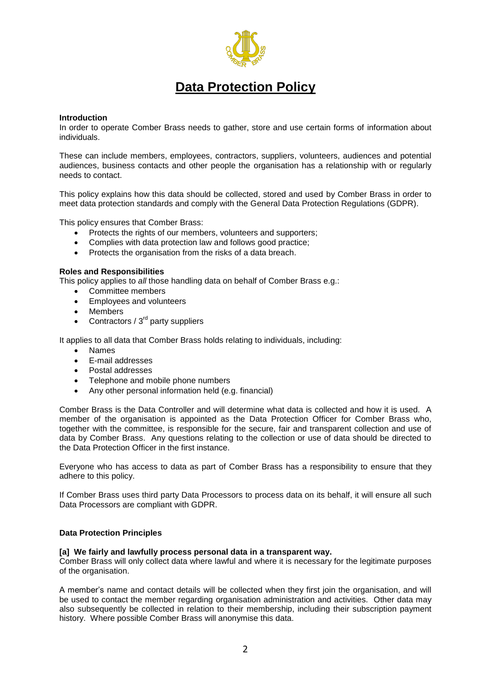

# **Data Protection Policy**

#### **Introduction**

In order to operate Comber Brass needs to gather, store and use certain forms of information about individuals.

These can include members, employees, contractors, suppliers, volunteers, audiences and potential audiences, business contacts and other people the organisation has a relationship with or regularly needs to contact.

This policy explains how this data should be collected, stored and used by Comber Brass in order to meet data protection standards and comply with the General Data Protection Regulations (GDPR).

This policy ensures that Comber Brass:

- Protects the rights of our members, volunteers and supporters;
- Complies with data protection law and follows good practice;
- Protects the organisation from the risks of a data breach.

#### **Roles and Responsibilities**

This policy applies to *all* those handling data on behalf of Comber Brass e.g.:

- Committee members
- Employees and volunteers
- Members
- Contractors /  $3<sup>rd</sup>$  party suppliers

It applies to all data that Comber Brass holds relating to individuals, including:

- Names
- E-mail addresses
- Postal addresses
- Telephone and mobile phone numbers
- Any other personal information held (e.g. financial)

Comber Brass is the Data Controller and will determine what data is collected and how it is used. A member of the organisation is appointed as the Data Protection Officer for Comber Brass who, together with the committee, is responsible for the secure, fair and transparent collection and use of data by Comber Brass. Any questions relating to the collection or use of data should be directed to the Data Protection Officer in the first instance.

Everyone who has access to data as part of Comber Brass has a responsibility to ensure that they adhere to this policy.

If Comber Brass uses third party Data Processors to process data on its behalf, it will ensure all such Data Processors are compliant with GDPR.

#### **Data Protection Principles**

#### **[a] We fairly and lawfully process personal data in a transparent way.**

Comber Brass will only collect data where lawful and where it is necessary for the legitimate purposes of the organisation.

A member's name and contact details will be collected when they first join the organisation, and will be used to contact the member regarding organisation administration and activities. Other data may also subsequently be collected in relation to their membership, including their subscription payment history. Where possible Comber Brass will anonymise this data.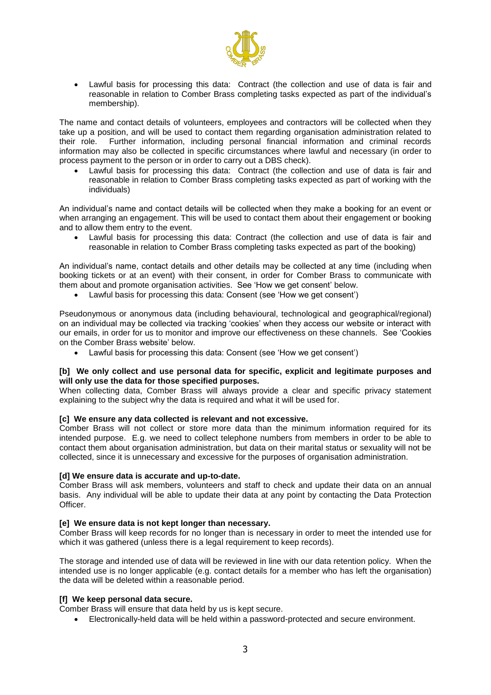

 Lawful basis for processing this data: Contract (the collection and use of data is fair and reasonable in relation to Comber Brass completing tasks expected as part of the individual's membership).

The name and contact details of volunteers, employees and contractors will be collected when they take up a position, and will be used to contact them regarding organisation administration related to their role. Further information, including personal financial information and criminal records information may also be collected in specific circumstances where lawful and necessary (in order to process payment to the person or in order to carry out a DBS check).

 Lawful basis for processing this data: Contract (the collection and use of data is fair and reasonable in relation to Comber Brass completing tasks expected as part of working with the individuals)

An individual's name and contact details will be collected when they make a booking for an event or when arranging an engagement. This will be used to contact them about their engagement or booking and to allow them entry to the event.

 Lawful basis for processing this data: Contract (the collection and use of data is fair and reasonable in relation to Comber Brass completing tasks expected as part of the booking)

An individual's name, contact details and other details may be collected at any time (including when booking tickets or at an event) with their consent, in order for Comber Brass to communicate with them about and promote organisation activities. See 'How we get consent' below.

Lawful basis for processing this data: Consent (see 'How we get consent')

Pseudonymous or anonymous data (including behavioural, technological and geographical/regional) on an individual may be collected via tracking 'cookies' when they access our website or interact with our emails, in order for us to monitor and improve our effectiveness on these channels. See 'Cookies on the Comber Brass website' below.

Lawful basis for processing this data: Consent (see 'How we get consent')

#### **[b] We only collect and use personal data for specific, explicit and legitimate purposes and will only use the data for those specified purposes.**

When collecting data, Comber Brass will always provide a clear and specific privacy statement explaining to the subject why the data is required and what it will be used for.

#### **[c] We ensure any data collected is relevant and not excessive.**

Comber Brass will not collect or store more data than the minimum information required for its intended purpose. E.g. we need to collect telephone numbers from members in order to be able to contact them about organisation administration, but data on their marital status or sexuality will not be collected, since it is unnecessary and excessive for the purposes of organisation administration.

#### **[d] We ensure data is accurate and up-to-date.**

Comber Brass will ask members, volunteers and staff to check and update their data on an annual basis. Any individual will be able to update their data at any point by contacting the Data Protection Officer.

#### **[e] We ensure data is not kept longer than necessary.**

Comber Brass will keep records for no longer than is necessary in order to meet the intended use for which it was gathered (unless there is a legal requirement to keep records).

The storage and intended use of data will be reviewed in line with our data retention policy. When the intended use is no longer applicable (e.g. contact details for a member who has left the organisation) the data will be deleted within a reasonable period.

#### **[f] We keep personal data secure.**

Comber Brass will ensure that data held by us is kept secure.

Electronically-held data will be held within a password-protected and secure environment.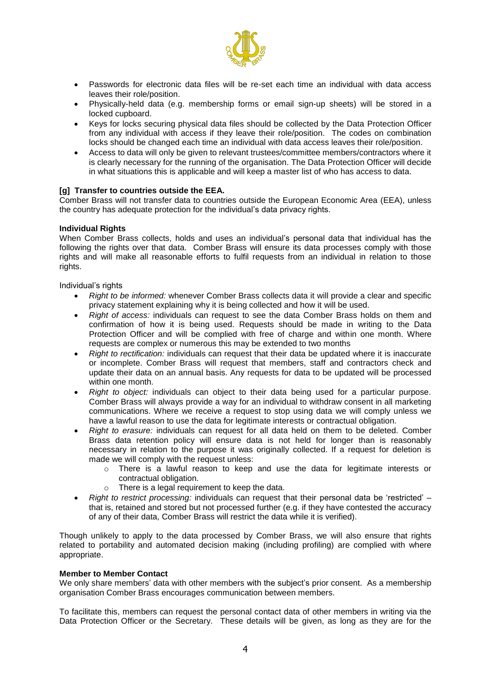

- Passwords for electronic data files will be re-set each time an individual with data access leaves their role/position.
- Physically-held data (e.g. membership forms or email sign-up sheets) will be stored in a locked cupboard.
- Keys for locks securing physical data files should be collected by the Data Protection Officer from any individual with access if they leave their role/position. The codes on combination locks should be changed each time an individual with data access leaves their role/position.
- Access to data will only be given to relevant trustees/committee members/contractors where it is clearly necessary for the running of the organisation. The Data Protection Officer will decide in what situations this is applicable and will keep a master list of who has access to data.

#### **[g] Transfer to countries outside the EEA.**

Comber Brass will not transfer data to countries outside the European Economic Area (EEA), unless the country has adequate protection for the individual's data privacy rights.

#### **Individual Rights**

When Comber Brass collects, holds and uses an individual's personal data that individual has the following the rights over that data. Comber Brass will ensure its data processes comply with those rights and will make all reasonable efforts to fulfil requests from an individual in relation to those rights.

Individual's rights

- *Right to be informed:* whenever Comber Brass collects data it will provide a clear and specific privacy statement explaining why it is being collected and how it will be used.
- *Right of access:* individuals can request to see the data Comber Brass holds on them and confirmation of how it is being used. Requests should be made in writing to the Data Protection Officer and will be complied with free of charge and within one month. Where requests are complex or numerous this may be extended to two months
- *Right to rectification:* individuals can request that their data be updated where it is inaccurate or incomplete. Comber Brass will request that members, staff and contractors check and update their data on an annual basis. Any requests for data to be updated will be processed within one month.
- *Right to object:* individuals can object to their data being used for a particular purpose. Comber Brass will always provide a way for an individual to withdraw consent in all marketing communications. Where we receive a request to stop using data we will comply unless we have a lawful reason to use the data for legitimate interests or contractual obligation.
- *Right to erasure:* individuals can request for all data held on them to be deleted. Comber Brass data retention policy will ensure data is not held for longer than is reasonably necessary in relation to the purpose it was originally collected. If a request for deletion is made we will comply with the request unless:
	- o There is a lawful reason to keep and use the data for legitimate interests or contractual obligation.
	- o There is a legal requirement to keep the data.
- *Right to restrict processing:* individuals can request that their personal data be 'restricted' that is, retained and stored but not processed further (e.g. if they have contested the accuracy of any of their data, Comber Brass will restrict the data while it is verified).

Though unlikely to apply to the data processed by Comber Brass, we will also ensure that rights related to portability and automated decision making (including profiling) are complied with where appropriate.

#### **Member to Member Contact**

We only share members' data with other members with the subject's prior consent. As a membership organisation Comber Brass encourages communication between members.

To facilitate this, members can request the personal contact data of other members in writing via the Data Protection Officer or the Secretary. These details will be given, as long as they are for the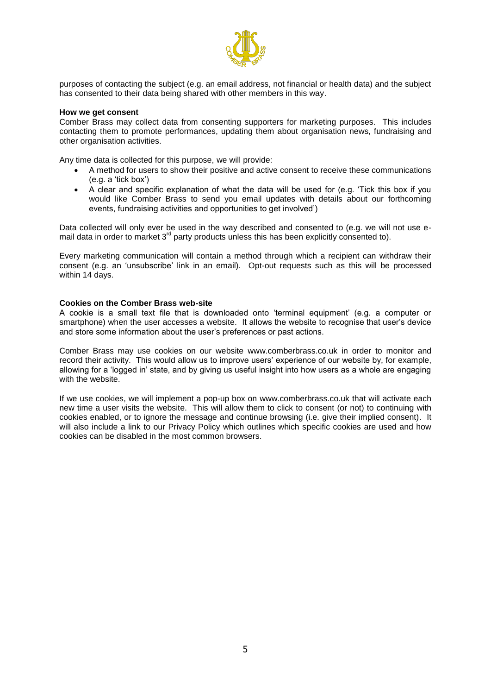

purposes of contacting the subject (e.g. an email address, not financial or health data) and the subject has consented to their data being shared with other members in this way.

#### **How we get consent**

Comber Brass may collect data from consenting supporters for marketing purposes. This includes contacting them to promote performances, updating them about organisation news, fundraising and other organisation activities.

Any time data is collected for this purpose, we will provide:

- A method for users to show their positive and active consent to receive these communications (e.g. a 'tick box')
- A clear and specific explanation of what the data will be used for (e.g. 'Tick this box if you would like Comber Brass to send you email updates with details about our forthcoming events, fundraising activities and opportunities to get involved')

Data collected will only ever be used in the way described and consented to (e.g. we will not use email data in order to market  $3<sup>rd</sup>$  party products unless this has been explicitly consented to).

Every marketing communication will contain a method through which a recipient can withdraw their consent (e.g. an 'unsubscribe' link in an email). Opt-out requests such as this will be processed within 14 days.

#### **Cookies on the Comber Brass web-site**

A cookie is a small text file that is downloaded onto 'terminal equipment' (e.g. a computer or smartphone) when the user accesses a website. It allows the website to recognise that user's device and store some information about the user's preferences or past actions.

Comber Brass may use cookies on our website www.comberbrass.co.uk in order to monitor and record their activity. This would allow us to improve users' experience of our website by, for example, allowing for a 'logged in' state, and by giving us useful insight into how users as a whole are engaging with the website.

If we use cookies, we will implement a pop-up box on www.comberbrass.co.uk that will activate each new time a user visits the website. This will allow them to click to consent (or not) to continuing with cookies enabled, or to ignore the message and continue browsing (i.e. give their implied consent). It will also include a link to our Privacy Policy which outlines which specific cookies are used and how cookies can be disabled in the most common browsers.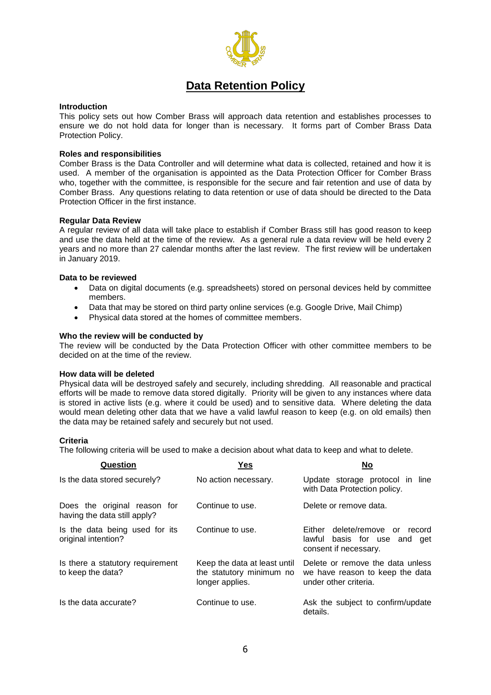

# **Data Retention Policy**

#### **Introduction**

This policy sets out how Comber Brass will approach data retention and establishes processes to ensure we do not hold data for longer than is necessary. It forms part of Comber Brass Data Protection Policy.

#### **Roles and responsibilities**

Comber Brass is the Data Controller and will determine what data is collected, retained and how it is used. A member of the organisation is appointed as the Data Protection Officer for Comber Brass who, together with the committee, is responsible for the secure and fair retention and use of data by Comber Brass. Any questions relating to data retention or use of data should be directed to the Data Protection Officer in the first instance.

#### **Regular Data Review**

A regular review of all data will take place to establish if Comber Brass still has good reason to keep and use the data held at the time of the review. As a general rule a data review will be held every 2 years and no more than 27 calendar months after the last review. The first review will be undertaken in January 2019.

#### **Data to be reviewed**

- Data on digital documents (e.g. spreadsheets) stored on personal devices held by committee members.
- Data that may be stored on third party online services (e.g. Google Drive, Mail Chimp)
- Physical data stored at the homes of committee members.

#### **Who the review will be conducted by**

The review will be conducted by the Data Protection Officer with other committee members to be decided on at the time of the review.

#### **How data will be deleted**

Physical data will be destroyed safely and securely, including shredding. All reasonable and practical efforts will be made to remove data stored digitally. Priority will be given to any instances where data is stored in active lists (e.g. where it could be used) and to sensitive data. Where deleting the data would mean deleting other data that we have a valid lawful reason to keep (e.g. on old emails) then the data may be retained safely and securely but not used.

#### **Criteria**

The following criteria will be used to make a decision about what data to keep and what to delete.

| Question                                                     | Yes                                                                         | <b>No</b>                                                                                    |
|--------------------------------------------------------------|-----------------------------------------------------------------------------|----------------------------------------------------------------------------------------------|
| Is the data stored securely?                                 | No action necessary.                                                        | Update storage protocol in line<br>with Data Protection policy.                              |
| Does the original reason for<br>having the data still apply? | Continue to use.                                                            | Delete or remove data.                                                                       |
| Is the data being used for its<br>original intention?        | Continue to use.                                                            | Either delete/remove or<br>record<br>lawful basis for use and get<br>consent if necessary.   |
| Is there a statutory requirement<br>to keep the data?        | Keep the data at least until<br>the statutory minimum no<br>longer applies. | Delete or remove the data unless<br>we have reason to keep the data<br>under other criteria. |
| Is the data accurate?                                        | Continue to use.                                                            | Ask the subject to confirm/update<br>details.                                                |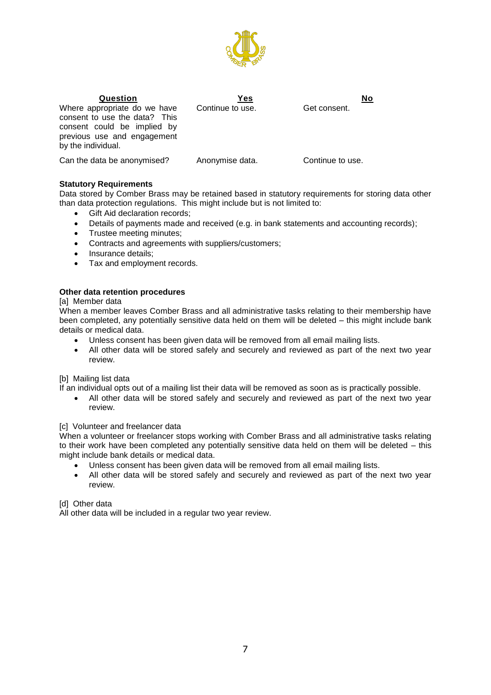

# Where appropriate do we have

consent to use the data? This

**Question Yes No** Continue to use.

consent could be implied by previous use and engagement by the individual.

Can the data be anonymised? Anonymise data. Continue to use.

#### **Statutory Requirements**

Data stored by Comber Brass may be retained based in statutory requirements for storing data other than data protection regulations. This might include but is not limited to:

- Gift Aid declaration records;
- Details of payments made and received (e.g. in bank statements and accounting records);
- Trustee meeting minutes;
- Contracts and agreements with suppliers/customers;
- Insurance details;
- Tax and employment records.

#### **Other data retention procedures**

#### [a] Member data

When a member leaves Comber Brass and all administrative tasks relating to their membership have been completed, any potentially sensitive data held on them will be deleted – this might include bank details or medical data.

- Unless consent has been given data will be removed from all email mailing lists.
- All other data will be stored safely and securely and reviewed as part of the next two year review.

#### [b] Mailing list data

If an individual opts out of a mailing list their data will be removed as soon as is practically possible.

 All other data will be stored safely and securely and reviewed as part of the next two year review.

#### [c] Volunteer and freelancer data

When a volunteer or freelancer stops working with Comber Brass and all administrative tasks relating to their work have been completed any potentially sensitive data held on them will be deleted – this might include bank details or medical data.

- Unless consent has been given data will be removed from all email mailing lists.
- All other data will be stored safely and securely and reviewed as part of the next two year review.

[d] Other data

All other data will be included in a regular two year review.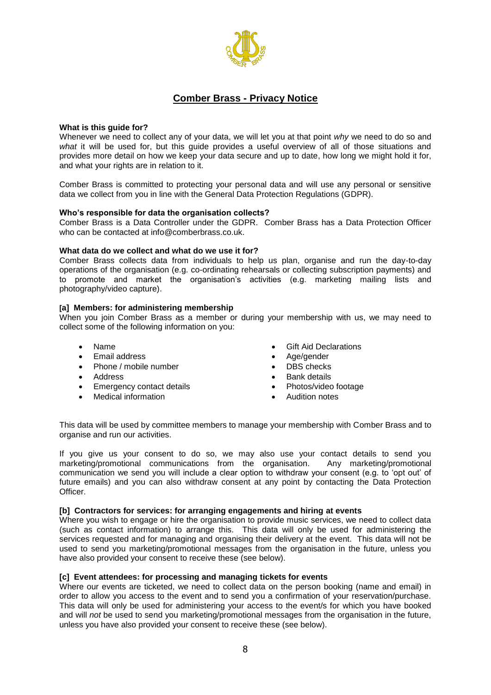

### **Comber Brass - Privacy Notice**

#### **What is this guide for?**

Whenever we need to collect any of your data, we will let you at that point *why* we need to do so and *what* it will be used for, but this guide provides a useful overview of all of those situations and provides more detail on how we keep your data secure and up to date, how long we might hold it for, and what your rights are in relation to it.

Comber Brass is committed to protecting your personal data and will use any personal or sensitive data we collect from you in line with the General Data Protection Regulations (GDPR).

#### **Who's responsible for data the organisation collects?**

Comber Brass is a Data Controller under the GDPR. Comber Brass has a Data Protection Officer who can be contacted at info@comberbrass.co.uk.

#### **What data do we collect and what do we use it for?**

Comber Brass collects data from individuals to help us plan, organise and run the day-to-day operations of the organisation (e.g. co-ordinating rehearsals or collecting subscription payments) and to promote and market the organisation's activities (e.g. marketing mailing lists and photography/video capture).

#### **[a] Members: for administering membership**

When you join Comber Brass as a member or during your membership with us, we may need to collect some of the following information on you:

- Name
- Email address
- Phone / mobile number
- Address
- Emergency contact details
- Medical information
- Gift Aid Declarations
- Age/gender
- DBS checks
- **Bank details**
- Photos/video footage
- Audition notes

This data will be used by committee members to manage your membership with Comber Brass and to organise and run our activities.

If you give us your consent to do so, we may also use your contact details to send you marketing/promotional communications from the organisation. Any marketing/promotional communication we send you will include a clear option to withdraw your consent (e.g. to 'opt out' of future emails) and you can also withdraw consent at any point by contacting the Data Protection Officer.

#### **[b] Contractors for services: for arranging engagements and hiring at events**

Where you wish to engage or hire the organisation to provide music services, we need to collect data (such as contact information) to arrange this. This data will only be used for administering the services requested and for managing and organising their delivery at the event. This data will not be used to send you marketing/promotional messages from the organisation in the future, unless you have also provided your consent to receive these (see below).

#### **[c] Event attendees: for processing and managing tickets for events**

Where our events are ticketed, we need to collect data on the person booking (name and email) in order to allow you access to the event and to send you a confirmation of your reservation/purchase. This data will only be used for administering your access to the event/s for which you have booked and will *not* be used to send you marketing/promotional messages from the organisation in the future, unless you have also provided your consent to receive these (see below).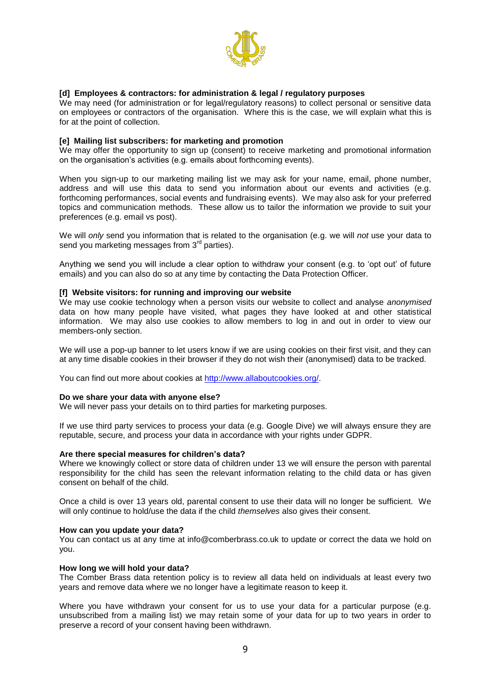

#### **[d] Employees & contractors: for administration & legal / regulatory purposes**

We may need (for administration or for legal/regulatory reasons) to collect personal or sensitive data on employees or contractors of the organisation. Where this is the case, we will explain what this is for at the point of collection.

#### **[e] Mailing list subscribers: for marketing and promotion**

We may offer the opportunity to sign up (consent) to receive marketing and promotional information on the organisation's activities (e.g. emails about forthcoming events).

When you sign-up to our marketing mailing list we may ask for your name, email, phone number, address and will use this data to send you information about our events and activities (e.g. forthcoming performances, social events and fundraising events). We may also ask for your preferred topics and communication methods. These allow us to tailor the information we provide to suit your preferences (e.g. email vs post).

We will *only* send you information that is related to the organisation (e.g. we will *not* use your data to send you marketing messages from 3<sup>rd</sup> parties).

Anything we send you will include a clear option to withdraw your consent (e.g. to 'opt out' of future emails) and you can also do so at any time by contacting the Data Protection Officer.

#### **[f] Website visitors: for running and improving our website**

We may use cookie technology when a person visits our website to collect and analyse *anonymised* data on how many people have visited, what pages they have looked at and other statistical information. We may also use cookies to allow members to log in and out in order to view our members-only section.

We will use a pop-up banner to let users know if we are using cookies on their first visit, and they can at any time disable cookies in their browser if they do not wish their (anonymised) data to be tracked.

You can find out more about cookies at [http://www.allaboutcookies.org/.](http://www.allaboutcookies.org/)

#### **Do we share your data with anyone else?**

We will never pass your details on to third parties for marketing purposes.

If we use third party services to process your data (e.g. Google Dive) we will always ensure they are reputable, secure, and process your data in accordance with your rights under GDPR.

#### **Are there special measures for children's data?**

Where we knowingly collect or store data of children under 13 we will ensure the person with parental responsibility for the child has seen the relevant information relating to the child data or has given consent on behalf of the child.

Once a child is over 13 years old, parental consent to use their data will no longer be sufficient. We will only continue to hold/use the data if the child *themselves* also gives their consent.

#### **How can you update your data?**

You can contact us at any time at info@comberbrass.co.uk to update or correct the data we hold on you.

#### **How long we will hold your data?**

The Comber Brass data retention policy is to review all data held on individuals at least every two years and remove data where we no longer have a legitimate reason to keep it.

Where you have withdrawn your consent for us to use your data for a particular purpose (e.g. unsubscribed from a mailing list) we may retain some of your data for up to two years in order to preserve a record of your consent having been withdrawn.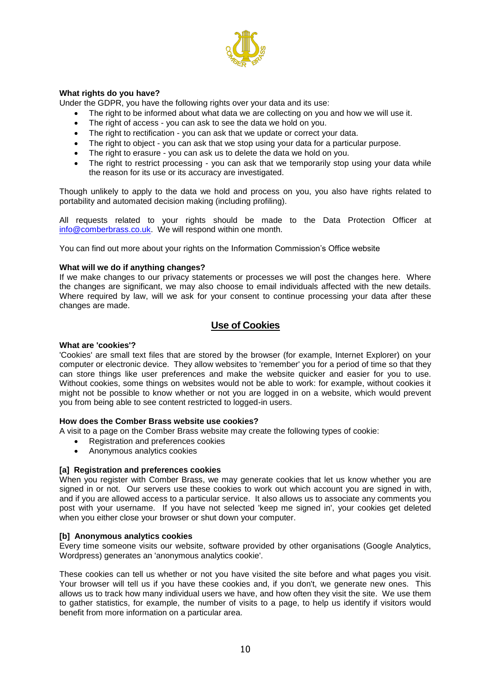

#### **What rights do you have?**

Under the GDPR, you have the following rights over your data and its use:

- The right to be informed about what data we are collecting on you and how we will use it.
- The right of access you can ask to see the data we hold on you.
- The right to rectification you can ask that we update or correct your data.
- The right to object you can ask that we stop using your data for a particular purpose.
- The right to erasure you can ask us to delete the data we hold on you.
- The right to restrict processing you can ask that we temporarily stop using your data while the reason for its use or its accuracy are investigated.

Though unlikely to apply to the data we hold and process on you, you also have rights related to portability and automated decision making (including profiling).

All requests related to your rights should be made to the Data Protection Officer at [info@comberbrass.co.uk.](mailto:info@comberbrass.co.uk) We will respond within one month.

You can find out more about your rights on the [Information Commission's Office website](https://ico.org.uk/for-organisations/guide-to-the-general-data-protection-regulation-gdpr/individual-rights/)

#### **What will we do if anything changes?**

If we make changes to our privacy statements or processes we will post the changes here. Where the changes are significant, we may also choose to email individuals affected with the new details. Where required by law, will we ask for your consent to continue processing your data after these changes are made.

#### **Use of Cookies**

#### **What are 'cookies'?**

'Cookies' are small text files that are stored by the browser (for example, Internet Explorer) on your computer or electronic device. They allow websites to 'remember' you for a period of time so that they can store things like user preferences and make the website quicker and easier for you to use. Without cookies, some things on websites would not be able to work: for example, without cookies it might not be possible to know whether or not you are logged in on a website, which would prevent you from being able to see content restricted to logged-in users.

#### **How does the Comber Brass website use cookies?**

- A visit to a page on the Comber Brass website may create the following types of cookie:
	- [Registration and preferences cookies](https://www.makingmusic.org.uk/cookie-and-privacy-policy#registration)
	- [Anonymous analytics cookies](https://www.makingmusic.org.uk/cookie-and-privacy-policy#analytics)

#### **[a] Registration and preferences cookies**

When you register with Comber Brass, we may generate cookies that let us know whether you are signed in or not. Our servers use these cookies to work out which account you are signed in with, and if you are allowed access to a particular service. It also allows us to associate any comments you post with your username. If you have not selected 'keep me signed in', your cookies get deleted when you either close your browser or shut down your computer.

#### **[b] Anonymous analytics cookies**

Every time someone visits our website, software provided by other organisations (Google Analytics, Wordpress) generates an 'anonymous analytics cookie'.

These cookies can tell us whether or not you have visited the site before and what pages you visit. Your browser will tell us if you have these cookies and, if you don't, we generate new ones. This allows us to track how many individual users we have, and how often they visit the site. We use them to gather statistics, for example, the number of visits to a page, to help us identify if visitors would benefit from more information on a particular area.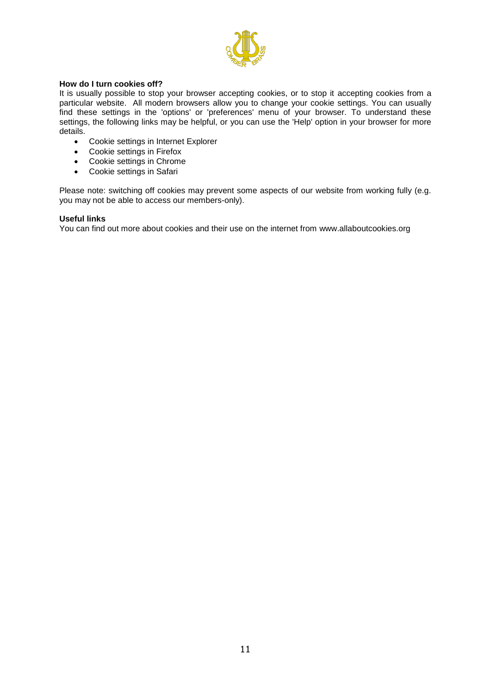

#### **How do I turn cookies off?**

It is usually possible to stop your browser accepting cookies, or to stop it accepting cookies from a particular website. All modern browsers allow you to change your cookie settings. You can usually find these settings in the 'options' or 'preferences' menu of your browser. To understand these settings, the following links may be helpful, or you can use the 'Help' option in your browser for more details.

- [Cookie settings in Internet Explorer](http://windows.microsoft.com/en-GB/internet-explorer/delete-manage-cookies#ie=ie-10)
- [Cookie settings in Firefox](https://support.mozilla.org/en-US/kb/cookies-information-websites-store-on-your-computer?redirectlocale=en-US&redirectslug=Cookies)
- [Cookie settings in Chrome](https://support.google.com/chrome/answer/95647?hl=en&ref_topic=14666)
- [Cookie settings in Safari](https://support.apple.com/kb/PH19214?locale=en_US)

Please note: switching off cookies may prevent some aspects of our website from working fully (e.g. you may not be able to access our members-only).

#### **Useful links**

You can find out more about cookies and their use on the internet from [www.allaboutcookies.org](http://www.allaboutcookies.org/)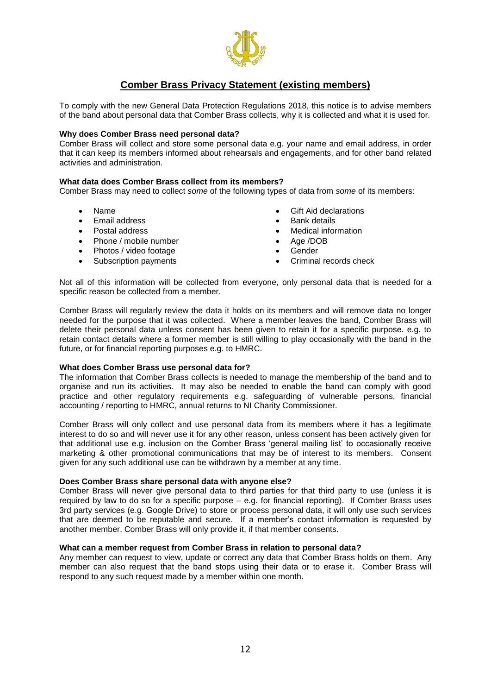

# **Comber Brass Privacy Statement (existing members)**

To comply with the new General Data Protection Regulations 2018, this notice is to advise members of the band about personal data that Comber Brass collects, why it is collected and what it is used for.

#### **Why does Comber Brass need personal data?**

Comber Brass will collect and store some personal data e.g. your name and email address, in order that it can keep its members informed about rehearsals and engagements, and for other band related activities and administration.

#### **What data does Comber Brass collect from its members?**

Comber Brass may need to collect *some* of the following types of data from *some* of its members:

- Name
- Email address
- Postal address
- Phone / mobile number
- Photos / video footage
- Subscription payments
- Gift Aid declarations
- Bank details
- Medical information
- Age /DOB
- Gender
- Criminal records check

Not all of this information will be collected from everyone, only personal data that is needed for a specific reason be collected from a member.

Comber Brass will regularly review the data it holds on its members and will remove data no longer needed for the purpose that it was collected. Where a member leaves the band, Comber Brass will delete their personal data unless consent has been given to retain it for a specific purpose. e.g. to retain contact details where a former member is still willing to play occasionally with the band in the future, or for financial reporting purposes e.g. to HMRC.

#### **What does Comber Brass use personal data for?**

The information that Comber Brass collects is needed to manage the membership of the band and to organise and run its activities. It may also be needed to enable the band can comply with good practice and other regulatory requirements e.g. safeguarding of vulnerable persons, financial accounting / reporting to HMRC, annual returns to NI Charity Commissioner.

Comber Brass will only collect and use personal data from its members where it has a legitimate interest to do so and will never use it for any other reason, unless consent has been actively given for that additional use e.g. inclusion on the Comber Brass 'general mailing list' to occasionally receive marketing & other promotional communications that may be of interest to its members. Consent given for any such additional use can be withdrawn by a member at any time.

#### **Does Comber Brass share personal data with anyone else?**

Comber Brass will never give personal data to third parties for that third party to use (unless it is required by law to do so for a specific purpose – e.g. for financial reporting). If Comber Brass uses 3rd party services (e.g. Google Drive) to store or process personal data, it will only use such services that are deemed to be reputable and secure. If a member's contact information is requested by another member, Comber Brass will only provide it, if that member consents.

#### **What can a member request from Comber Brass in relation to personal data?**

Any member can request to view, update or correct any data that Comber Brass holds on them. Any member can also request that the band stops using their data or to erase it. Comber Brass will respond to any such request made by a member within one month.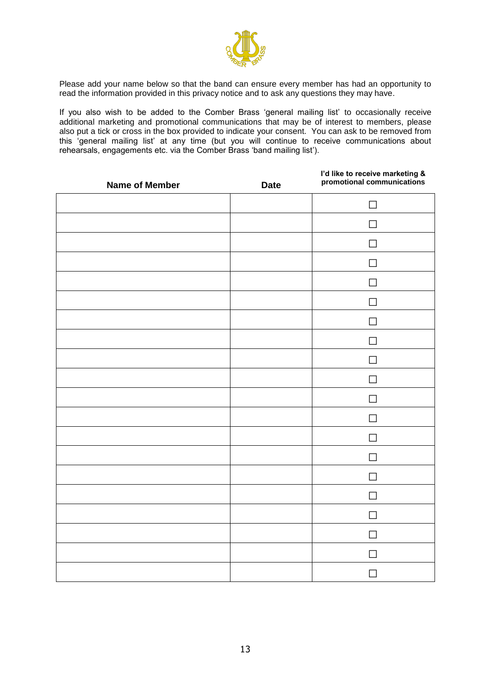

Please add your name below so that the band can ensure every member has had an opportunity to read the information provided in this privacy notice and to ask any questions they may have.

If you also wish to be added to the Comber Brass 'general mailing list' to occasionally receive additional marketing and promotional communications that may be of interest to members, please also put a tick or cross in the box provided to indicate your consent. You can ask to be removed from this 'general mailing list' at any time (but you will continue to receive communications about rehearsals, engagements etc. via the Comber Brass 'band mailing list').

| <b>Name of Member</b> | <b>Date</b> | I'd like to receive marketing &<br>promotional communications |
|-----------------------|-------------|---------------------------------------------------------------|
|                       |             | $\mathsf{L}$                                                  |
|                       |             |                                                               |
|                       |             | $\Box$                                                        |
|                       |             |                                                               |
|                       |             | $\mathsf{L}$                                                  |
|                       |             |                                                               |
|                       |             | П                                                             |
|                       |             | $\mathbf{I}$                                                  |
|                       |             | $\mathsf{L}$                                                  |
|                       |             |                                                               |
|                       |             | $\Box$                                                        |
|                       |             | $\sim$                                                        |
|                       |             | П                                                             |
|                       |             | $\mathsf{L}$                                                  |
|                       |             | $\Box$                                                        |
|                       |             | $\sim$                                                        |
|                       |             | $\Box$                                                        |
|                       |             | $\mathsf{L}$                                                  |
|                       |             | $\Box$                                                        |
|                       |             | $\sim$                                                        |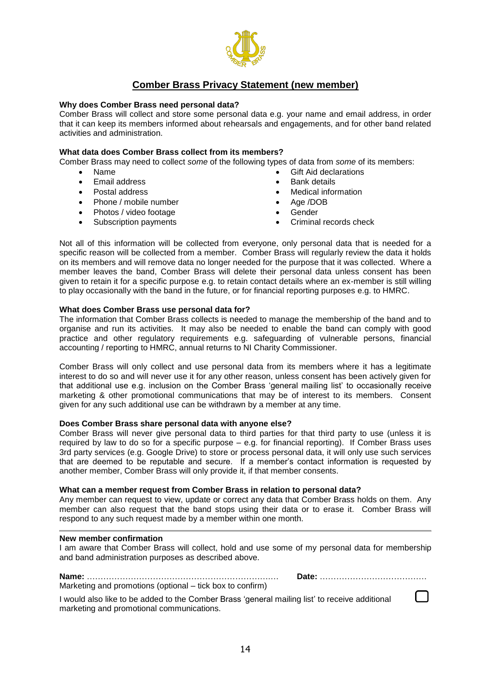

## **Comber Brass Privacy Statement (new member)**

#### **Why does Comber Brass need personal data?**

Comber Brass will collect and store some personal data e.g. your name and email address, in order that it can keep its members informed about rehearsals and engagements, and for other band related activities and administration.

#### **What data does Comber Brass collect from its members?**

Comber Brass may need to collect *some* of the following types of data from *some* of its members:

- Name
- Email address
- Postal address
- Phone / mobile number
- Photos / video footage
- Subscription payments
- Gift Aid declarations
- Bank details
- Medical information
- Age /DOB
- Gender
- Criminal records check

Not all of this information will be collected from everyone, only personal data that is needed for a specific reason will be collected from a member. Comber Brass will regularly review the data it holds on its members and will remove data no longer needed for the purpose that it was collected. Where a member leaves the band, Comber Brass will delete their personal data unless consent has been given to retain it for a specific purpose e.g. to retain contact details where an ex-member is still willing to play occasionally with the band in the future, or for financial reporting purposes e.g. to HMRC.

#### **What does Comber Brass use personal data for?**

The information that Comber Brass collects is needed to manage the membership of the band and to organise and run its activities. It may also be needed to enable the band can comply with good practice and other regulatory requirements e.g. safeguarding of vulnerable persons, financial accounting / reporting to HMRC, annual returns to NI Charity Commissioner.

Comber Brass will only collect and use personal data from its members where it has a legitimate interest to do so and will never use it for any other reason, unless consent has been actively given for that additional use e.g. inclusion on the Comber Brass 'general mailing list' to occasionally receive marketing & other promotional communications that may be of interest to its members. Consent given for any such additional use can be withdrawn by a member at any time.

#### **Does Comber Brass share personal data with anyone else?**

Comber Brass will never give personal data to third parties for that third party to use (unless it is required by law to do so for a specific purpose – e.g. for financial reporting). If Comber Brass uses 3rd party services (e.g. Google Drive) to store or process personal data, it will only use such services that are deemed to be reputable and secure. If a member's contact information is requested by another member, Comber Brass will only provide it, if that member consents.

#### **What can a member request from Comber Brass in relation to personal data?**

Any member can request to view, update or correct any data that Comber Brass holds on them. Any member can also request that the band stops using their data or to erase it. Comber Brass will respond to any such request made by a member within one month.

#### **New member confirmation**

I am aware that Comber Brass will collect, hold and use some of my personal data for membership and band administration purposes as described above.

**Name:** ………………………………………………………….… **Date:** …………………………………

Marketing and promotions (optional – tick box to confirm)

I would also like to be added to the Comber Brass 'general mailing list' to receive additional marketing and promotional communications.